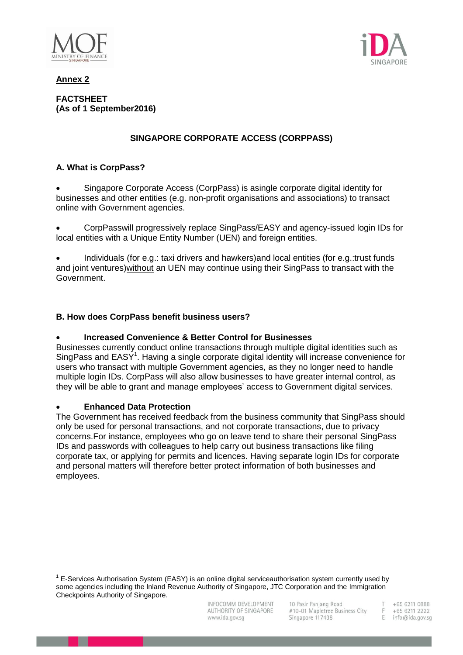

**Annex 2**

**FACTSHEET (As of 1 September2016)**

# **SINGAPORE CORPORATE ACCESS (CORPPASS)**

## **A. What is CorpPass?**

 Singapore Corporate Access (CorpPass) is asingle corporate digital identity for businesses and other entities (e.g. non-profit organisations and associations) to transact online with Government agencies.

 CorpPasswill progressively replace SingPass/EASY and agency-issued login IDs for local entities with a Unique Entity Number (UEN) and foreign entities.

 Individuals (for e.g.: taxi drivers and hawkers)and local entities (for e.g.:trust funds and joint ventures)without an UEN may continue using their SingPass to transact with the Government.

## **B. How does CorpPass benefit business users?**

## **Increased Convenience & Better Control for Businesses**

Businesses currently conduct online transactions through multiple digital identities such as SingPass and EASY<sup>1</sup>. Having a single corporate digital identity will increase convenience for users who transact with multiple Government agencies, as they no longer need to handle multiple login IDs. CorpPass will also allow businesses to have greater internal control, as they will be able to grant and manage employees' access to Government digital services.

## **Enhanced Data Protection**

 $\overline{a}$ 

The Government has received feedback from the business community that SingPass should only be used for personal transactions, and not corporate transactions, due to privacy concerns.For instance, employees who go on leave tend to share their personal SingPass IDs and passwords with colleagues to help carry out business transactions like filing corporate tax, or applying for permits and licences. Having separate login IDs for corporate and personal matters will therefore better protect information of both businesses and employees.

+65 6211 0888 +65 6211 2222

F info@ida.gov.sg

 $1$  E-Services Authorisation System (EASY) is an online digital serviceauthorisation system currently used by some agencies including the Inland Revenue Authority of Singapore, JTC Corporation and the Immigration Checkpoints Authority of Singapore.